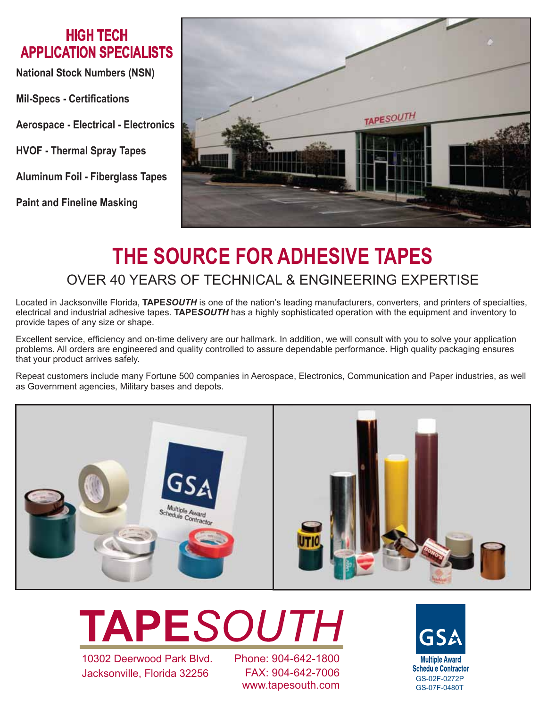### **HIGH TECH APPLICATION SPECIALISTS**

**National Stock Numbers (NSN)**

**Mil-Specs - Certifications**

**Aerospace - Electrical - Electronics**

**HVOF - Thermal Spray Tapes**

**Aluminum Foil - Fiberglass Tapes**

**Paint and Fineline Masking**



# **THE SOURCE FOR ADHESIVE TAPES** OVER 40 YEARS OF TECHNICAL & ENGINEERING EXPERTISE

Located in Jacksonville Florida, **TAPE***SOUTH* is one of the nation's leading manufacturers, converters, and printers of specialties, electrical and industrial adhesive tapes. **TAPE***SOUTH* has a highly sophisticated operation with the equipment and inventory to provide tapes of any size or shape.

Excellent service, efficiency and on-time delivery are our hallmark. In addition, we will consult with you to solve your application problems. All orders are engineered and quality controlled to assure dependable performance. High quality packaging ensures that your product arrives safely.

Repeat customers include many Fortune 500 companies in Aerospace, Electronics, Communication and Paper industries, as well as Government agencies, Military bases and depots.



**TAPESOUTH** 

10302 Deerwood Park Blvd. Jacksonville, Florida 32256

Phone: 904-642-1800 FAX: 904-642-7006 TAX: 504-042-7 000<br>WWW.tapesouth.com GS-02F-0480T